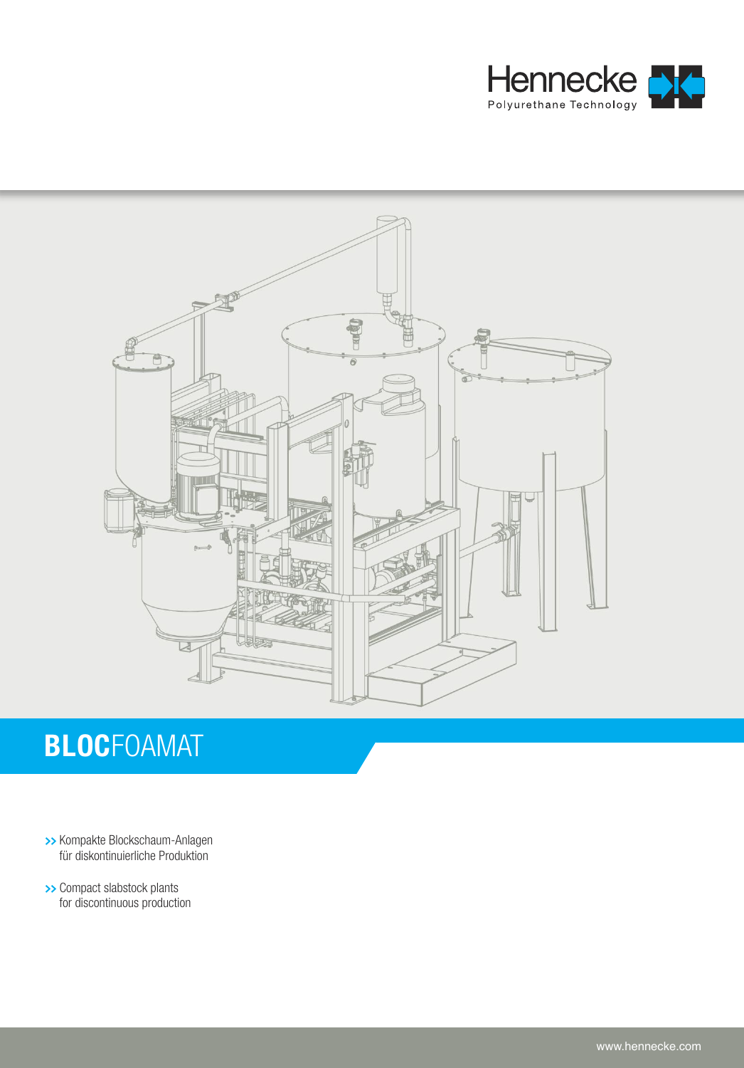



# **BLOC**FOAMAT

- **>>** Kompakte Blockschaum-Anlagen für diskontinuierliche Produktion
- **>>** Compact slabstock plants for discontinuous production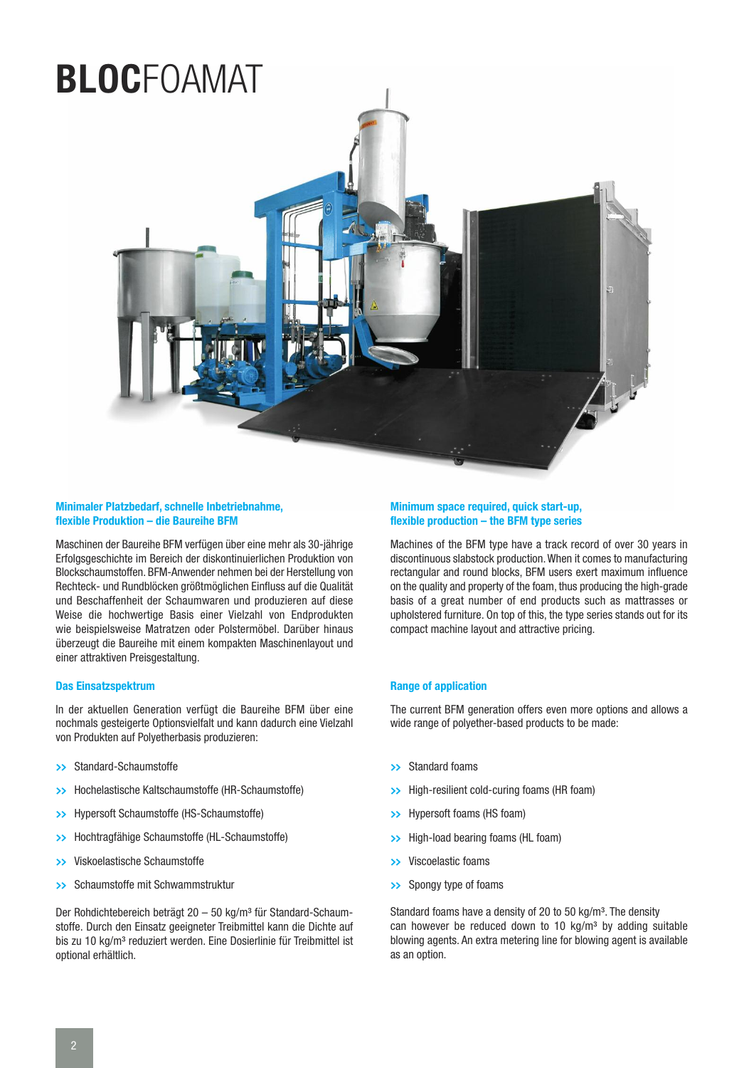# **BLOC**FOAMAT



# **Minimaler Platzbedarf, schnelle Inbetriebnahme, flexible Produktion – die Baureihe BFM**

Maschinen der Baureihe BFM verfügen über eine mehr als 30-jährige Erfolgsgeschichte im Bereich der diskontinuierlichen Produktion von Blockschaumstoffen. BFM-Anwender nehmen bei der Herstellung von Rechteck- und Rundblöcken größtmöglichen Einfluss auf die Qualität und Beschaffenheit der Schaumwaren und produzieren auf diese Weise die hochwertige Basis einer Vielzahl von Endprodukten wie beispielsweise Matratzen oder Polstermöbel. Darüber hinaus überzeugt die Baureihe mit einem kompakten Maschinenlayout und einer attraktiven Preisgestaltung.

# **Das Einsatzspektrum**

In der aktuellen Generation verfügt die Baureihe BFM über eine nochmals gesteigerte Optionsvielfalt und kann dadurch eine Vielzahl von Produkten auf Polyetherbasis produzieren:

- **>>** Standard-Schaumstoffe
- **>>** Hochelastische Kaltschaumstoffe (HR-Schaumstoffe)
- **>>** Hypersoft Schaumstoffe (HS-Schaumstoffe)
- **>>** Hochtragfähige Schaumstoffe (HL-Schaumstoffe)
- **>>** Viskoelastische Schaumstoffe
- **>>** Schaumstoffe mit Schwammstruktur

Der Rohdichtebereich beträgt 20 - 50 kg/m<sup>3</sup> für Standard-Schaumstoffe. Durch den Einsatz geeigneter Treibmittel kann die Dichte auf bis zu 10 kg/m<sup>3</sup> reduziert werden. Eine Dosierlinie für Treibmittel ist optional erhältlich.

### **Minimum space required, quick start-up, flexible production – the BFM type series**

Machines of the BFM type have a track record of over 30 years in discontinuous slabstock production.When it comes to manufacturing rectangular and round blocks, BFM users exert maximum influence on the quality and property of the foam, thus producing the high-grade basis of a great number of end products such as mattrasses or upholstered furniture. On top of this, the type series stands out for its compact machine layout and attractive pricing.

# **Range of application**

The current BFM generation offers even more options and allows a wide range of polyether-based products to be made:

- **>>** Standard foams
- **>>** High-resilient cold-curing foams (HR foam)
- **>>** Hypersoft foams (HS foam)
- **>>** High-load bearing foams (HL foam)
- **>>** Viscoelastic foams
- **>>** Spongy type of foams

Standard foams have a density of 20 to 50 kg/m<sup>3</sup>. The density can however be reduced down to 10  $\text{ka/m}^3$  by adding suitable blowing agents. An extra metering line for blowing agent is available as an option.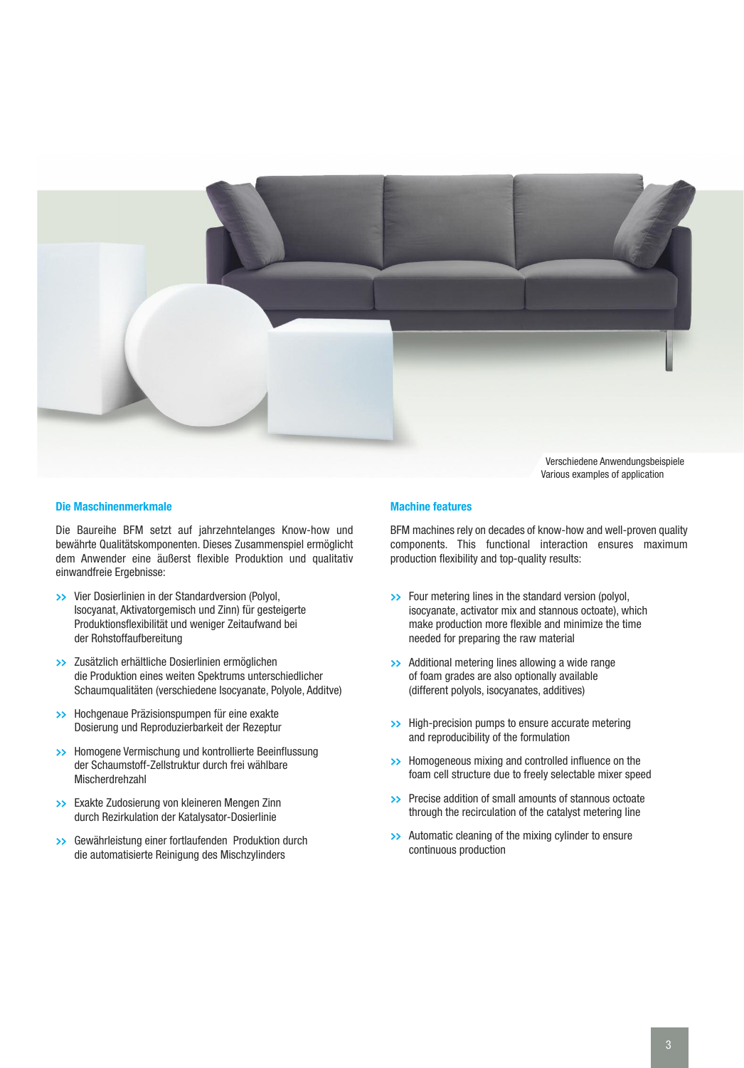

Verschiedene Anwendungsbeispiele Various examples of application

#### **Die Maschinenmerkmale**

Die Baureihe BFM setzt auf jahrzehntelanges Know-how und bewährte Qualitätskomponenten. Dieses Zusammenspiel ermöglicht dem Anwender eine äußerst flexible Produktion und qualitativ einwandfreie Ergebnisse:

- **>>** Vier Dosierlinien in der Standardversion (Polyol, Isocyanat, Aktivatorgemisch und Zinn) für gesteigerte Produktionsflexibilität und weniger Zeitaufwand bei der Rohstoffaufbereitung
- **>>** Zusätzlich erhältliche Dosierlinien ermöglichen die Produktion eines weiten Spektrums unterschiedlicher Schaumqualitäten (verschiedene Isocyanate, Polyole, Additve)
- **>>** Hochgenaue Präzisionspumpen für eine exakte Dosierung und Reproduzierbarkeit der Rezeptur
- **>>** Homogene Vermischung und kontrollierte Beeinflussung der Schaumstoff-Zellstruktur durch frei wählbare Mischerdrehzahl
- **>>** Exakte Zudosierung von kleineren Mengen Zinn durch Rezirkulation der Katalysator-Dosierlinie
- **>>** Gewährleistung einer fortlaufenden Produktion durch die automatisierte Reinigung des Mischzylinders

### **Machine features**

BFM machines rely on decades of know-how and well-proven quality components. This functional interaction ensures maximum production flexibility and top-quality results:

- **>>** Four metering lines in the standard version (polyol, isocyanate, activator mix and stannous octoate), which make production more flexible and minimize the time needed for preparing the raw material
- **>>** Additional metering lines allowing a wide range of foam grades are also optionally available (different polyols, isocyanates, additives)
- **>>** High-precision pumps to ensure accurate metering and reproducibility of the formulation
- **>>** Homogeneous mixing and controlled influence on the foam cell structure due to freely selectable mixer speed
- **>>** Precise addition of small amounts of stannous octoate through the recirculation of the catalyst metering line
- **>>** Automatic cleaning of the mixing cylinder to ensure continuous production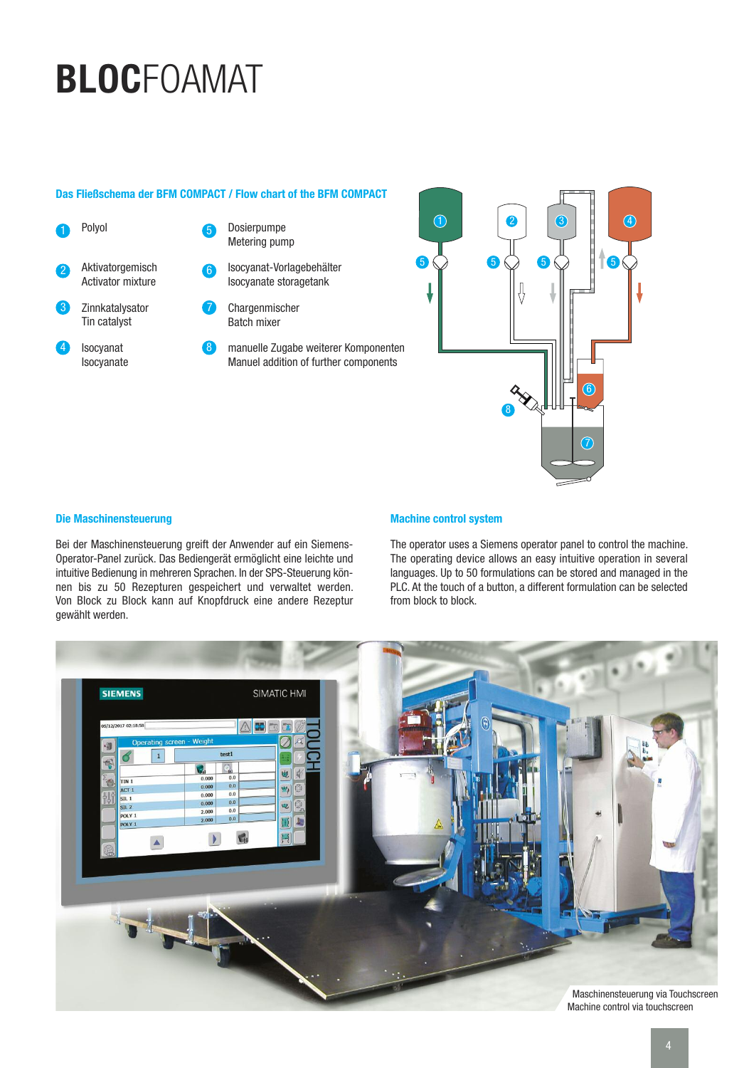# **BLOC**FOAMAT

# **Das Fließschema der BFM COMPACT / Flow chart of the BFM COMPACT**



- Dosierpumpe Metering pump 5
- Isocyanat-Vorlagebehälter Isocyanate storagetank 6

Chargenmischer Batch mixer 7

manuelle Zugabe weiterer Komponenten Manuel addition of further components **A** 



# **Die Maschinensteuerung**

Bei der Maschinensteuerung greift der Anwender auf ein Siemens-Operator-Panel zurück. Das Bediengerät ermöglicht eine leichte und intuitive Bedienung in mehreren Sprachen. In der SPS-Steuerung können bis zu 50 Rezepturen gespeichert und verwaltet werden. Von Block zu Block kann auf Knopfdruck eine andere Rezeptur gewählt werden.

# **Machine control system**

The operator uses a Siemens operator panel to control the machine. The operating device allows an easy intuitive operation in several languages. Up to 50 formulations can be stored and managed in the PLC. At the touch of a button, a different formulation can be selected from block to block.

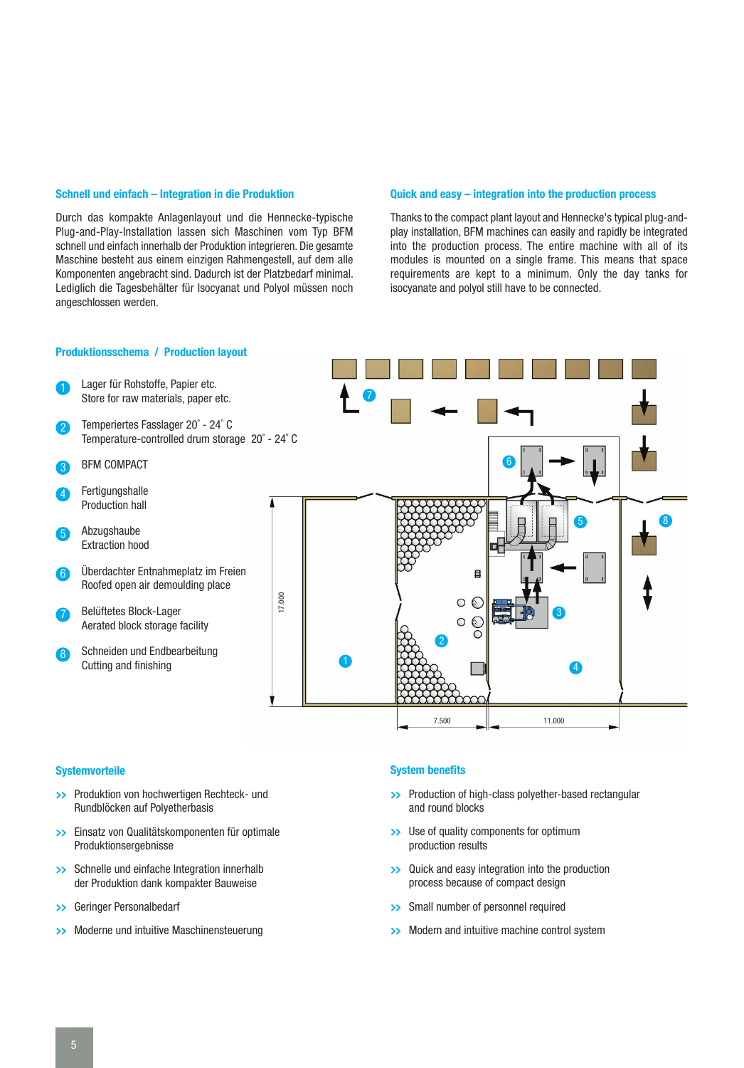# **Schnell und einfach – Integration in die Produktion**

Durch das kompakte Anlagenlayout und die Hennecke-typische Plug-and-Play-Installation lassen sich Maschinen vom Typ BFM schnell und einfach innerhalb der Produktion integrieren. Die gesamte Maschine besteht aus einem einzigen Rahmengestell, auf dem alle Komponenten angebracht sind. Dadurch ist der Platzbedarf minimal. Lediglich die Tagesbehälter für Isocyanat und Polyol müssen noch angeschlossen werden.

# **Quick and easy – integration into the production process**

Thanks to the compact plant layout and Hennecke's typical plug-andplay installation, BFM machines can easily and rapidly be integrated into the production process. The entire machine with all of its modules is mounted on a single frame. This means that space requirements are kept to a minimum. Only the day tanks for isocyanate and polyol still have to be connected.



### **Systemvorteile**

- **>>** Produktion von hochwertigen Rechteck- und Rundblöcken auf Polyetherbasis
- **>>** Einsatz von Qualitätskomponenten für optimale Produktionsergebnisse
- **>>** Schnelle und einfache Integration innerhalb der Produktion dank kompakter Bauweise
- **>>** Geringer Personalbedarf
- **>>** Moderne und intuitive Maschinensteuerung

### **System benefits**

- **>>** Production of high-class polyether-based rectangular and round blocks
- **>>** Use of quality components for optimum production results
- **>>** Quick and easy integration into the production process because of compact design
- **>>** Small number of personnel required
- **>>** Modern and intuitive machine control system